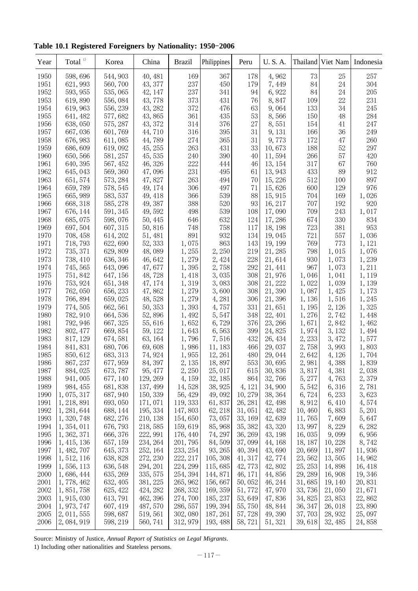Table 10.1 Registered Foreigners by Nationality: 1950-2006

| Year | $\mbox{Total}^{1)}$ | Korea    | China    | <b>Brazil</b> | Philippines | Peru    | U.S.A.  |         | Thailand Viet Nam | Indonesia |
|------|---------------------|----------|----------|---------------|-------------|---------|---------|---------|-------------------|-----------|
| 1950 | 598,696             | 544, 903 | 40, 481  | 169           | 367         | 178     | 4,962   | 73      | 25                | 257       |
| 1951 | 621, 993            | 560, 700 | 43, 377  | 237           | 450         | 179     | 7,449   | 84      | 24                | 304       |
| 1952 | 593, 955            | 535,065  | 42, 147  | 237           | 341         | 94      | 6,922   | 84      | 24                | 205       |
| 1953 | 619,890             | 556,084  | 43,778   | $373\,$       | 431         | 76      | 8,847   | 109     | 22                | 231       |
| 1954 | 619, 963            | 556, 239 | 43, 282  | 372           | 476         | 63      | 9,064   | 133     | 34                | 245       |
| 1955 | 641, 482            | 577,682  | 43,865   | 361           | 435         | 53      | 8,566   | 150     | 48                | 284       |
| 1956 | 638,050             | 575, 287 | 43, 372  | 314           | 376         | 27      | 8,551   | 154     | 41                | 247       |
| 1957 | 667,036             | 601,769  | 44,710   | 316           | 395         | 31      | 9, 131  | 166     | 36                | 249       |
| 1958 | 676, 983            | 611,085  | 44,789   | 274           | 365         | 31      | 9,773   | 172     | 47                | 260       |
| 1959 | 686, 609            | 619,092  | 45, 255  | 263           | 431         | 33      | 10,673  | 188     | 52                | 297       |
| 1960 | 650, 566            | 581, 257 | 45,535   | 240           | 390         | 40      | 11,594  | 266     | 57                | 420       |
| 1961 | 640, 395            | 567, 452 | 46, 326  | 222           | 444         | 46      | 13, 154 | 317     | 67                | 760       |
| 1962 | 645, 043            | 569, 360 | 47,096   | 231           | 495         | 61      | 13, 943 | 433     | 89                | 912       |
| 1963 | 651, 574            | 573, 284 | 47,827   | 263           | 494         | 70      | 15, 226 | 512     | 100               | 897       |
| 1964 | 659,789             | 578, 545 | 49, 174  | 306           | 497         | 71      | 15,626  | 600     | 129               | 976       |
| 1965 | 665, 989            | 583, 537 | 49, 418  | 366           | 539         | 88      | 15, 915 | 704     | 169               | 1,026     |
| 1966 | 668, 318            | 585, 278 | 49, 387  | 388           | 520         | 93      | 16, 217 | 707     | 192               | 920       |
| 1967 | 676, 144            | 591, 345 | 49,592   | 498           | 539         | 108     | 17,090  | 709     | 243               | 1,017     |
| 1968 | 685,075             | 598,076  | 50, 445  | 646           | 632         | 124     | 17,286  | 674     | 330               | 834       |
| 1969 | 697, 504            | 607, 315 | 50,816   | 748           | 758         | 117     | 18, 198 | 723     | 381               | 953       |
| 1970 | 708, 458            | 614, 202 | 51, 481  | 891           | 932         | 134     | 19,045  | 721     | 557               | 1,036     |
| 1971 | 718, 793            | 622, 690 | 52, 333  | 1,075         | 863         | 143     | 19, 199 | 769     | 773               | 1, 121    |
| 1972 | 735, 371            | 629,809  | 48,089   | 1,255         | 2,250       | 219     | 21, 285 | 798     | 1,015             | 1,076     |
| 1973 | 738, 410            | 636, 346 | 46,642   | 1,279         | 2,424       | 228     | 21,614  | 930     | 1,073             | 1,239     |
| 1974 | 745, 565            | 643,096  | 47,677   | 1,395         | 2,758       | 292     | 21, 441 | 967     | 1,073             | 1,211     |
| 1975 | 751, 842            | 647, 156 | 48,728   | 1,418         | 3,035       | 308     | 21,976  | 1,046   | 1,041             | 1, 119    |
| 1976 | 753, 924            | 651, 348 | 47, 174  | 1,319         | 3,083       | 308     | 21, 222 | 1,022   | 1,039             | 1,139     |
| 1977 | 762,050             | 656, 233 | 47,862   | 1,279         | 3,600       | 308     | 21,390  | 1,087   | 1,425             | 1,173     |
| 1978 | 766, 894            | 659,025  | 48,528   | 1,279         | 4,281       | 306     | 21,396  | 1,136   | 1,516             | 1,245     |
| 1979 | 774, 505            | 662, 561 | 50, 353  | 1,393         | 4,757       | 331     | 21,651  | 1, 195  | 2, 126            | 1,325     |
| 1980 | 782, 910            | 664, 536 | 52,896   | 1,492         | 5, 547      | 348     | 22, 401 | 1,276   | 2,742             | 1,448     |
| 1981 | 792, 946            | 667, 325 | 55,616   | 1,652         | 6,729       | 376     | 23, 266 | 1,671   | 2,842             | 1,462     |
| 1982 | 802, 477            | 669, 854 | 59, 122  | 1,643         | 6,563       | 399     | 24,825  | 1,974   | 3, 132            | 1,494     |
| 1983 | 817, 129            | 674, 581 | 63, 164  | 1,796         | 7,516       | 432     | 26, 434 | 2,233   | 3,472             | 1,577     |
| 1984 | 841, 831            | 680,706  | 69,608   | 1,986         | 11, 183     | 466     | 29,037  | 2,758   | 3,993             | 1,803     |
| 1985 | 850, 612            | 683, 313 | 74, 924  | 1,955         | 12, 261     | 480     | 29,044  | 2,642   | 4,126             | 1,704     |
| 1986 | 867, 237            | 677, 959 | 84, 397  | 2, 135        | 18,897      | 553     | 30,695  | 2,981   | 4,388             | 1,839     |
| 1987 | 884, 025            | 673, 787 | 95, 477  | 2,250         | 25, 017     | 615     | 30,836  | 3,817   | 4,381             | 2,038     |
| 1988 | 941,005             | 677, 140 | 129, 269 | 4, 159        | 32, 185     | 864     | 32,766  | 5,277   | 4,763             | 2,379     |
| 1989 | 984, 455            | 681, 838 | 137, 499 | 14,528        | 38, 925     | 4, 121  | 34,900  | 5,542   | 6,316             | 2,781     |
| 1990 | 1,075,317           | 687, 940 | 150, 339 | 56, 429       | 49,092      | 10,279  | 38, 364 | 6,724   | 6,233             | 3,623     |
| 1991 | 1, 218, 891         | 693,050  | 171,071  | 119, 333      | 61,837      | 26, 281 | 42, 498 | 8,912   | 6,410             | 4,574     |
| 1992 | 1, 281, 644         | 688, 144 | 195, 334 | 147,803       | 62, 218     | 31,051  | 42, 482 | 10,460  | 6,883             | 5,201     |
| 1993 | 1, 320, 748         | 682, 276 | 210, 138 | 154,650       | 73,057      | 33, 169 | 42,639  | 11,765  | 7,609             | 5,647     |
| 1994 | 1, 354, 011         | 676, 793 | 218,585  | 159, 619      | 85, 968     | 35, 382 | 43, 320 | 13,997  | 8,229             | 6,282     |
| 1995 | 1, 362, 371         | 666, 376 | 222, 991 | 176, 440      | 74, 297     | 36, 269 | 43, 198 | 16,035  | 9,099             | 6,956     |
| 1996 | 1, 415, 136         | 657, 159 | 234, 264 | 201, 795      | 84,509      | 37,099  | 44, 168 | 18, 187 | 10, 228           | 8,742     |
| 1997 | 1, 482, 707         | 645, 373 | 252, 164 | 233, 254      | 93, 265     | 40, 394 | 43,690  | 20,669  | 11,897            | 11,936    |
| 1998 | 1, 512, 116         | 638, 828 | 272, 230 | 222, 217      | 105, 308    | 41, 317 | 42, 774 | 23,562  | 13,505            | 14,962    |
| 1999 | 1, 556, 113         | 636, 548 | 294, 201 | 224, 299      | 115,685     | 42,773  | 42,802  | 25, 253 | 14,898            | 16, 418   |
| 2000 | 1,686,444           | 635, 269 | 335, 575 | 254, 394      | 144,871     | 46, 171 | 44,856  | 29, 289 | 16,908            | 19, 346   |
| 2001 | 1, 778, 462         | 632, 405 | 381, 225 | 265, 962      | 156,667     | 50,052  | 46, 244 | 31,685  | 19, 140           | 20,831    |
| 2002 | 1, 851, 758         | 625, 422 | 424, 282 | 268, 332      | 169, 359    | 51,772  | 47,970  | 33,736  | 21,050            | 21,671    |
| 2003 | 1, 915, 030         | 613, 791 | 462, 396 | 274,700       | 185, 237    | 53,649  | 47,836  | 34,825  | 23,853            | 22,862    |
| 2004 | 1, 973, 747         | 607, 419 | 487, 570 | 286, 557      | 199, 394    | 55,750  | 48, 844 | 36, 347 | 26, 018           | 23,890    |
| 2005 | 2, 011, 555         | 598, 687 | 519, 561 | 302,080       | 187, 261    | 57,728  | 49,390  | 37,703  | 28, 932           | 25,097    |
| 2006 | 2, 084, 919         | 598, 219 | 560, 741 | 312, 979      | 193, 488    | 58,721  | 51, 321 | 39,618  | 32, 485           | 24,858    |

Source: Ministry of Justice, Annual Report of Statistics on Legal Migrants.

1) Including other nationalities and Stateless persons.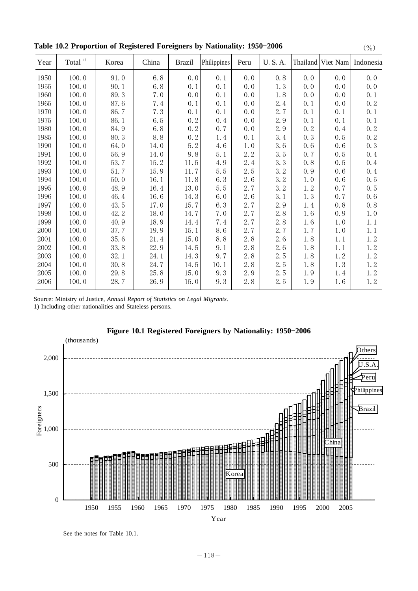|           |       |         |               |             |      |               |      |       | $\langle$ / $\vee$ / |
|-----------|-------|---------|---------------|-------------|------|---------------|------|-------|----------------------|
| Total $1$ | Korea | China   | <b>Brazil</b> | Philippines | Peru | <b>U.S.A.</b> |      |       | Indonesia            |
| 100.0     | 91.0  | 6.8     | 0.0           | 0.1         | 0.0  | 0.8           | 0.0  | 0.0   | 0.0                  |
| 100.0     | 90.1  | 6.8     | 0.1           | 0.1         | 0.0  | 1.3           | 0, 0 | 0.0   | 0.0                  |
| 100.0     | 89.3  | 7.0     | 0.0           | 0.1         | 0.0  | 1.8           | 0.0  | 0.0   | 0.1                  |
| 100.0     | 87.6  | 7.4     | 0.1           | 0.1         | 0.0  | 2.4           | 0.1  | 0.0   | 0.2                  |
| 100.0     | 86.7  | 7.3     | 0.1           | 0.1         | 0.0  | 2.7           | 0.1  | 0.1   | 0.1                  |
| 100.0     | 86.1  | 6.5     | 0.2           | 0.4         | 0.0  | 2.9           | 0.1  | 0.1   | 0.1                  |
| 100.0     | 84.9  | $6.8\,$ | 0.2           | 0.7         | 0.0  | 2.9           | 0.2  | 0.4   | 0.2                  |
| 100.0     | 80.3  | 8.8     | 0.2           | 1.4         | 0.1  | 3.4           | 0.3  | 0.5   | 0.2                  |
| 100.0     | 64.0  | 14.0    | 5.2           | $4.6\,$     | 1.0  | 3.6           | 0.6  | 0.6   | 0.3                  |
| 100.0     | 56.9  | 14.0    | 9, 8          | 5.1         | 2.2  | 3.5           | 0, 7 | 0.5   | 0.4                  |
| 100.0     | 53.7  | 15.2    | 11.5          | 4.9         | 2.4  | 3.3           | 0.8  | 0.5   | 0.4                  |
| 100.0     | 51.7  | 15.9    | $11.7\,$      | 5.5         | 2.5  | 3.2           | 0.9  | 0.6   | 0.4                  |
| 100.0     | 50.0  | 16.1    | 11.8          | 6.3         | 2.6  | 3.2           | 1.0  | 0.6   | 0.5                  |
| 100.0     | 48.9  | 16.4    | 13.0          | 5.5         | 2.7  | 3.2           | 1.2  | 0.7   | 0.5                  |
| 100.0     | 46.4  | 16.6    | 14.3          | 6.0         | 2.6  | 3.1           | 1.3  | 0.7   | 0.6                  |
| 100.0     | 43.5  | 17.0    | 15.7          | 6.3         | 2.7  | 2.9           | 1.4  | 0.8   | 0, 8                 |
| 100.0     | 42.2  | 18.0    | 14.7          | 7.0         | 2.7  | 2.8           | 1.6  | 0.9   | 1.0                  |
| 100.0     | 40.9  | 18.9    | 14.4          | 7.4         | 2.7  | 2.8           | 1.6  | 1.0   | 1.1                  |
| 100.0     | 37.7  | 19.9    | 15.1          | 8.6         | 2.7  | 2.7           | 1.7  | $1.0$ | 1.1                  |
| 100.0     | 35.6  | 21.4    | 15.0          | 8.8         | 2.8  | 2.6           | 1.8  | 1.1   | 1.2                  |
| 100.0     | 33.8  | 22.9    | 14.5          | 9.1         | 2.8  | 2.6           | 1.8  | 1.1   | 1.2                  |
| 100.0     | 32.1  | 24.1    | 14.3          | 9.7         | 2.8  | 2.5           | 1.8  | 1.2   | 1.2                  |
| 100.0     | 30.8  | 24.7    | 14.5          | 10.1        | 2.8  | 2.5           | 1.8  | 1.3   | 1.2                  |
| 100.0     | 29.8  | 25.8    | 15.0          | 9.3         | 2.9  | 2.5           | 1.9  | 1.4   | 1.2                  |
| 100.0     | 28.7  | 26.9    |               | 9.3         | 2.8  | 2.5           | 1.9  | 1.6   | 1.2                  |
|           |       |         |               |             | 15.0 |               |      |       | Thailand<br>Viet Nam |

**Table 10.2 Proportion of Registered Foreigners by Nationality: 1950-2006** (%)

Source: Ministry of Justice, Annual Report of Statistics on Legal Migrants.

1) Including other nationalities and Stateless persons.





See the notes for Table 10.1.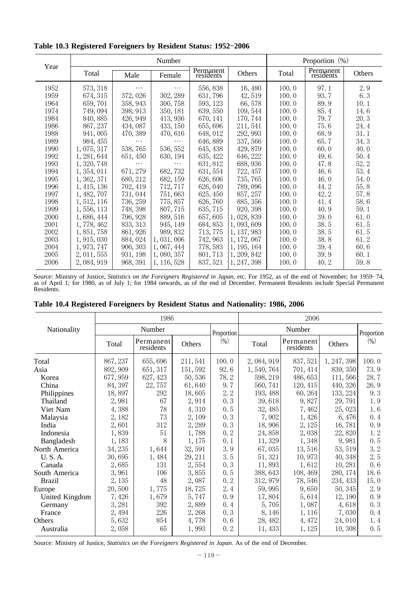|      |             |          | Number      |                        |             | Proportion $(\%)$ |                        |        |  |
|------|-------------|----------|-------------|------------------------|-------------|-------------------|------------------------|--------|--|
| Year | Total       | Male     | Female      | Permanent<br>residents | Others      | Total             | Permanent<br>residents | Others |  |
| 1952 | 573, 318    | $\cdots$ | .           | 556,838                | 16,480      | 100.0             | 97.1                   | 2.9    |  |
| 1959 | 674, 315    | 372,026  | 302, 289    | 631,796                | 42,519      | 100.0             | 93.7                   | 6.3    |  |
| 1964 | 659,701     | 358, 943 | 300, 758    | 593, 123               | 66,578      | 100.0             | 89.9                   | 10.1   |  |
| 1974 | 749, 094    | 398, 913 | 350, 181    | 639, 550               | 109, 544    | 100.0             | 85.4                   | 14.6   |  |
| 1984 | 840, 885    | 426, 949 | 413, 936    | 670, 141               | 170, 744    | 100.0             | 79.7                   | 20.3   |  |
| 1986 | 867, 237    | 434,087  | 433, 150    | 655, 696               | 211, 541    | 100.0             | 75.6                   | 24.4   |  |
| 1988 | 941,005     | 470, 389 | 470, 616    | 648, 012               | 292, 993    | 100.0             | 68.9                   | 31.1   |  |
| 1989 | 984, 455    | .        | .           | 646, 889               | 337,566     | 100.0             | 65.7                   | 34.3   |  |
| 1990 | 1,075,317   | 538, 765 | 536, 552    | 645, 438               | 429, 879    | 100.0             | 60.0                   | 40.0   |  |
| 1992 | 1, 281, 644 | 651, 450 | 630, 194    | 635, 422               | 646, 222    | 100.0             | 49.6                   | 50.4   |  |
| 1993 | 1, 320, 748 |          |             | 631, 812               | 688, 936    | 100.0             | 47.8                   | 52.2   |  |
| 1994 | 1, 354, 011 | 671, 279 | 682, 732    | 631, 554               | 722, 457    | 100.0             | 46.6                   | 53.4   |  |
| 1995 | 1, 362, 371 | 680, 212 | 682, 159    | 626,606                | 735, 765    | 100.0             | 46.0                   | 54.0   |  |
| 1996 | 1, 415, 136 | 702, 419 | 712, 717    | 626, 040               | 789,096     | 100.0             | 44.2                   | 55.8   |  |
| 1997 | 1, 482, 707 | 731,044  | 751,663     | 625, 450               | 857, 257    | 100.0             | 42.2                   | 57.8   |  |
| 1998 | 1, 512, 116 | 736, 259 | 775, 857    | 626, 760               | 885, 356    | 100.0             | 41.4                   | 58.6   |  |
| 1999 | 1, 556, 113 | 748, 398 | 807, 715    | 635, 715               | 920, 398    | 100.0             | 40.9                   | 59.1   |  |
| 2000 | 1,686,444   | 796, 928 | 889, 516    | 657,605                | 1,028,839   | 100.0             | 39.0                   | 61.0   |  |
| 2001 | 1,778,462   | 833, 313 | 945, 149    | 684, 853               | 1,093,609   | 100.0             | 38.5                   | 61.5   |  |
| 2002 | 1, 851, 758 | 861, 926 | 989, 832    | 713, 775               | 1, 137, 983 | 100.0             | 38.5                   | 61.5   |  |
| 2003 | 1, 915, 030 | 884, 024 | 1,031,006   | 742, 963               | 1, 172, 067 | 100.0             | 38.8                   | 61.2   |  |
| 2004 | 1, 973, 747 | 906, 303 | 1, 067, 444 | 778, 583               | 1, 195, 164 | 100.0             | 39.4                   | 60.6   |  |
| 2005 | 2, 011, 555 | 931, 198 | 1,080,357   | 801, 713               | 1, 209, 842 | 100.0             | 39.9                   | 60.1   |  |
| 2006 | 2,084,919   | 968, 391 | 1, 116, 528 | 837, 521               | 1, 247, 398 | 100.0             | 40.2                   | 59.8   |  |

Table 10.3 Registered Foreigners by Resident Status: 1952-2006

Source: Ministry of Justice, Statistics on the Foreigners Registered in Japan, etc. For 1952, as of the end of November; for 1959-74, as of April 1; for 1980, as of July 1; for 1984 onwards, as of the end of December. Permanent Residents include Special Permanent Residents.

|                |          | 1986                   |          |            | 2006      |                        |             |            |  |
|----------------|----------|------------------------|----------|------------|-----------|------------------------|-------------|------------|--|
| Nationality    |          | Number                 |          | Proportion |           | Number                 |             | Proportion |  |
|                | Total    | Permanent<br>residents | Others   | $(\% )$    | Total     | Permanent<br>residents | Others      | $(\% )$    |  |
| Total          | 867, 237 | 655, 696               | 211,541  | 100.0      | 2,084,919 | 837, 521               | 1, 247, 398 | 100.0      |  |
| Asia           | 802, 909 | 651, 317               | 151, 592 | 92.6       | 1,540,764 | 701, 414               | 839, 350    | 73.9       |  |
| Korea          | 677, 959 | 627, 423               | 50,536   | 78.2       | 598, 219  | 486, 653               | 111,566     | 28.7       |  |
| China          | 84, 397  | 22,757                 | 61,640   | 9.7        | 560, 741  | 120, 415               | 440, 326    | 26.9       |  |
| Philippines    | 18,897   | 292                    | 18,605   | 2.2        | 193, 488  | 60, 264                | 133, 224    | 9.3        |  |
| Thailand       | 2,981    | 67                     | 2,914    | 0.3        | 39,618    | 9,827                  | 29,791      | 1.9        |  |
| Viet Nam       | 4,388    | 78                     | 4,310    | 0.5        | 32, 485   | 7,462                  | 25,023      | 1.6        |  |
| Malaysia       | 2, 182   | 73                     | 2,109    | 0.3        | 7,902     | 1,426                  | 6,476       | 0.4        |  |
| India          | 2,601    | 312                    | 2,289    | 0.3        | 18,906    | 2, 125                 | 16,781      | 0.9        |  |
| Indonesia      | 1,839    | 51                     | 1,788    | 0.2        | 24,858    | 2,038                  | 22,820      | 1.2        |  |
| Bangladesh     | 1,183    | 8                      | 1,175    | 0.1        | 11, 329   | 1,348                  | 9,981       | 0.5        |  |
| North America  | 34, 235  | 1,644                  | 32,591   | 3.9        | 67,035    | 13,516                 | 53, 519     | 3.2        |  |
| U.S.A.         | 30,695   | 1,484                  | 29, 211  | 3.5        | 51, 321   | 10,973                 | 40, 348     | 2.5        |  |
| Canada         | 2,685    | 131                    | 2,554    | 0.3        | 11,893    | 1,612                  | 10,281      | 0.6        |  |
| South America  | 3,961    | 106                    | 3,855    | 0.5        | 388, 643  | 108,469                | 280, 174    | 18.6       |  |
| <b>Brazil</b>  | 2,135    | 48                     | 2,087    | 0.2        | 312, 979  | 78,546                 | 234, 433    | 15.0       |  |
| Europe         | 20,500   | 1,775                  | 18,725   | 2.4        | 59,995    | 9,650                  | 50, 345     | 2.9        |  |
| United Kingdom | 7,426    | 1,679                  | 5,747    | 0.9        | 17,804    | 5,614                  | 12, 190     | 0.9        |  |
| Germany        | 3,281    | 392                    | 2,889    | 0.4        | 5,705     | 1,087                  | 4,618       | 0.3        |  |
| France         | 2,494    | 226                    | 2,268    | 0.3        | 8,146     | 1,116                  | 7,030       | 0.4        |  |
| Others         | 5,632    | 854                    | 4,778    | 0.6        | 28, 482   | 4,472                  | 24,010      | 1.4        |  |
| Australia      | 2,058    | 65                     | 1,993    | 0.2        | 11,433    | 1, 125                 | 10,308      | 0.5        |  |

**Table 10.4 Registered Foreigners by Resident Status and Nationality: 1986, 2006**

Source: Ministry of Justice, Statistics on the Foreigners Registered in Japan. As of the end of December.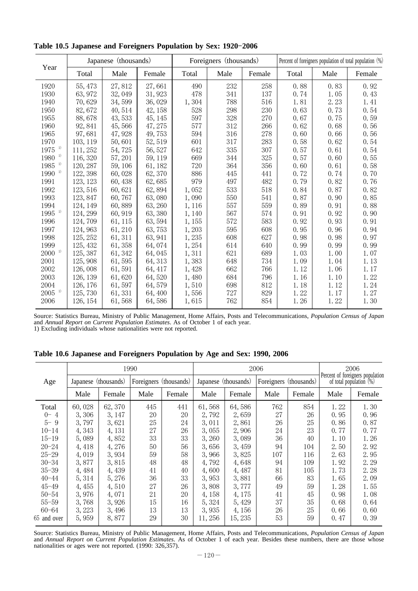| Year           |          | Japanese (thousands) |         |        | Foreigners (thousands) |        | Percent of foreigners population of total population (%) |      |        |
|----------------|----------|----------------------|---------|--------|------------------------|--------|----------------------------------------------------------|------|--------|
|                | Total    | Male                 | Female  | Total  | Male                   | Female | Total                                                    | Male | Female |
| 1920           | 55, 473  | 27,812               | 27,661  | 490    | 232                    | 258    | 0.88                                                     | 0.83 | 0.92   |
| 1930           | 63,972   | 32,049               | 31, 923 | 478    | 341                    | 137    | 0.74                                                     | 1.05 | 0.43   |
| 1940           | 70,629   | 34,599               | 36,029  | 1,304  | 788                    | 516    | 1.81                                                     | 2.23 | 1.41   |
| 1950           | 82,672   | 40, 514              | 42, 158 | 528    | 298                    | 230    | 0.63                                                     | 0.73 | 0.54   |
| 1955           | 88,678   | 43,533               | 45, 145 | 597    | 328                    | 270    | 0.67                                                     | 0.75 | 0.59   |
| 1960           | 92, 841  | 45,566               | 47, 275 | 577    | 312                    | 266    | 0.62                                                     | 0.68 | 0.56   |
| 1965           | 97,681   | 47,928               | 49,753  | 594    | 316                    | 278    | 0.60                                                     | 0.66 | 0.56   |
| 1970           | 103, 119 | 50,601               | 52, 519 | 601    | 317                    | 283    | 0.58                                                     | 0.62 | 0.54   |
| $_{1}$<br>1975 | 111, 252 | 54,725               | 56, 527 | 642    | 335                    | 307    | 0.57                                                     | 0.61 | 0.54   |
| $_{1}$<br>1980 | 116, 320 | 57, 201              | 59, 119 | 669    | 344                    | 325    | 0.57                                                     | 0.60 | 0.55   |
| $_{1}$<br>1985 | 120, 287 | 59, 106              | 61, 182 | 720    | 364                    | 356    | 0.60                                                     | 0.61 | 0.58   |
| 1)<br>1990     | 122, 398 | 60,028               | 62, 370 | 886    | 445                    | 441    | 0.72                                                     | 0.74 | 0.70   |
| 1991           | 123, 123 | 60,438               | 62,685  | 979    | 497                    | 482    | 0.79                                                     | 0.82 | 0.76   |
| 1992           | 123, 516 | 60,621               | 62,894  | 1,052  | 533                    | 518    | 0.84                                                     | 0.87 | 0.82   |
| 1993           | 123, 847 | 60,767               | 63,080  | 1,090  | 550                    | 541    | 0.87                                                     | 0.90 | 0.85   |
| 1994           | 124, 149 | 60,889               | 63, 260 | 1, 116 | 557                    | 559    | 0.89                                                     | 0.91 | 0.88   |
| 1)<br>1995     | 124, 299 | 60, 919              | 63,380  | 1,140  | 567                    | 574    | 0.91                                                     | 0.92 | 0.90   |
| 1996           | 124,709  | 61, 115              | 63, 594 | 1,155  | 572                    | 583    | 0.92                                                     | 0.93 | 0.91   |
| 1997           | 124, 963 | 61,210               | 63, 753 | 1,203  | 595                    | 608    | 0.95                                                     | 0.96 | 0.94   |
| 1998           | 125, 252 | 61, 311              | 63, 941 | 1,235  | 608                    | 627    | 0.98                                                     | 0.98 | 0.97   |
| 1999           | 125, 432 | 61,358               | 64,074  | 1,254  | 614                    | 640    | 0.99                                                     | 0.99 | 0.99   |
| 1)<br>2000     | 125, 387 | 61, 342              | 64,045  | 1,311  | 621                    | 689    | 1.03                                                     | 1.00 | 1.07   |
| 2001           | 125, 908 | 61,595               | 64, 313 | 1,383  | 648                    | 734    | 1.09                                                     | 1.04 | 1.13   |
| 2002           | 126,008  | 61,591               | 64, 417 | 1,428  | 662                    | 766    | 1.12                                                     | 1.06 | 1.17   |
| 2003           | 126, 139 | 61,620               | 64,520  | 1,480  | 684                    | 796    | 1.16                                                     | 1.10 | 1.22   |
| 2004           | 126, 176 | 61,597               | 64,579  | 1,510  | 698                    | 812    | 1.18                                                     | 1.12 | 1.24   |
| 1)<br>2005     | 125, 730 | 61,331               | 64, 400 | 1,556  | 727                    | 829    | 1.22                                                     | 1.17 | 1.27   |
| 2006           | 126, 154 | 61,568               | 64,586  | 1,615  | 762                    | 854    | 1.26                                                     | 1.22 | 1.30   |

Table 10.5 Japanese and Foreigners Population by Sex: 1920-2006

Source: Statistics Bureau, Ministry of Public Management, Home Affairs, Posts and Telecommunications, *Population Census of Japan* and Annual Report on Current Population Estimates. As of October 1 of each year. 1) Excluding individuals whose nationalities were not reported.

**Table 10.6 Japanese and Foreigners Population by Age and Sex: 1990, 2006**

|             |                      |         | 1990                   |        |                      |         | 2006                   |        | 2006<br>Percent of foreigners population |                            |
|-------------|----------------------|---------|------------------------|--------|----------------------|---------|------------------------|--------|------------------------------------------|----------------------------|
| Age         | Japanese (thousands) |         | Foreigners (thousands) |        | Japanese (thousands) |         | Foreigners (thousands) |        |                                          | of total population $(\%)$ |
|             | Male                 | Female  | Male                   | Female | Male                 | Female  | Male                   | Female | Male                                     | Female                     |
| Total       | 60,028               | 62, 370 | 445                    | 441    | 61,568               | 64,586  | 762                    | 854    | 1.22                                     | 1.30                       |
| $0 - 4$     | 3,306                | 3, 147  | 20                     | 20     | 2,792                | 2,659   | 27                     | 26     | 0.95                                     | 0.96                       |
| $5 - 9$     | 3,797                | 3,621   | 25                     | 24     | 3,011                | 2,861   | 26                     | 25     | 0.86                                     | 0.87                       |
| $10 - 14$   | 4,343                | 4, 131  | 27                     | 26     | 3,055                | 2,906   | 24                     | 23     | 0.77                                     | 0.77                       |
| $15 - 19$   | 5,089                | 4,852   | 33                     | 33     | 3,260                | 3,089   | 36                     | 40     | 1.10                                     | 1.26                       |
| $20 - 24$   | 4, 418               | 4,276   | 50                     | 56     | 3,656                | 3,459   | 94                     | 104    | 2.50                                     | 2.92                       |
| $25 - 29$   | 4,019                | 3,934   | 59                     | 58     | 3,966                | 3,825   | 107                    | 116    | 2.63                                     | 2.95                       |
| $30 - 34$   | 3,877                | 3,815   | 48                     | 48     | 4,792                | 4,648   | 94                     | 109    | 1.92                                     | 2.29                       |
| $35 - 39$   | 4,484                | 4,439   | 41                     | 40     | 4,600                | 4,487   | 81                     | 105    | 1.73                                     | 2.28                       |
| $40 - 44$   | 5, 314               | 5,276   | 36                     | 33     | 3,953                | 3,881   | 66                     | 83     | 1.65                                     | 2.09                       |
| $45 - 49$   | 4,455                | 4,510   | 27                     | 26     | 3,808                | 3,777   | 49                     | 59     | 1.28                                     | 1.55                       |
| $50 - 54$   | 3,976                | 4,071   | 21                     | 20     | 4,158                | 4,175   | 41                     | 45     | 0.98                                     | 1.08                       |
| $55 - 59$   | 3,768                | 3,926   | 15                     | 16     | 5, 324               | 5,429   | 37                     | 35     | 0.68                                     | 0.64                       |
| $60 - 64$   | 3, 223               | 3,496   | 13                     | 13     | 3,935                | 4,156   | 26                     | 25     | 0.66                                     | 0.60                       |
| 65 and over | 5,959                | 8,877   | 29                     | 30     | 11, 256              | 15, 235 | 53                     | 59     | 0.47                                     | 0.39                       |

Source: Statistics Bureau, Ministry of Public Management, Home Affairs, Posts and Telecommunications, *Population Census of Japan* and Annual Report on Current Population Estimates. As of October 1 of each year. Besides these numbers, there are those whose nationalities or ages were not reported. (1990: 326,357).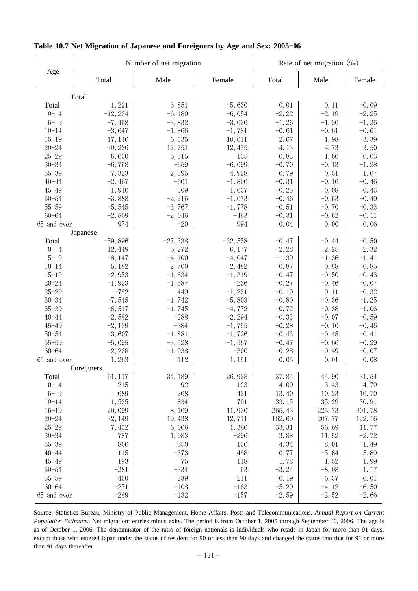|                        |                      | Number of net migration |                    | Rate of net migration $(\%_0)$ |                    |                    |  |
|------------------------|----------------------|-------------------------|--------------------|--------------------------------|--------------------|--------------------|--|
| Age                    | Total                | Male                    | Female             | Total                          | Male               | Female             |  |
|                        | Total                |                         |                    |                                |                    |                    |  |
| Total                  | 1,221                | 6,851                   | $-5,630$           | 0.01                           | 0.11               | $-0.09$            |  |
| $0 - 4$                | $-12, 234$           | $-6,180$                | $-6,054$           | $-2.22$                        | $-2.19$            | $-2.25$            |  |
| $5 - 9$                | $-7,458$             | $-3,832$                | $-3,626$           | $-1.26$                        | $-1.26$            | $-1.26$            |  |
| $10 - 14$              | $-3,647$             | $-1,866$                | $-1,781$           | $-0.61$                        | $-0.61$            | $-0.61$            |  |
| $15 - 19$              | 17, 146              | 6,535                   | 10,611             | 2.67                           | 1.98               | 3.39               |  |
| $20 - 24$              | 30, 226              | 17,751                  | 12, 475            | 4.13                           | 4.73               | 3.50               |  |
| $25 - 29$              | 6,650                | 6,515                   | 135                | 0.83                           | 1.60               | 0.03               |  |
| $30 - 34$              | $-6,758$             | $-659$                  | $-6,099$           | $-0.70$                        | $-0.13$            | $-1.28$            |  |
| $35 - 39$              | $-7,323$             | $-2, 395$               | $-4,928$           | $-0.79$                        | $-0.51$            | $-1.07$            |  |
| $40 - 44$              | $-2,467$             | $-661$                  | $-1,806$           | $-0.31$                        | $-0.16$            | $-0.46$            |  |
| $45 - 49$              | $-1,946$             | $-309$                  | $-1,637$           | $-0.25$                        | $-0.08$            | $-0.43$            |  |
| $50 - 54$<br>$55 - 59$ | $-3,888$             | $-2, 215$               | $-1,673$           | $-0.46$<br>$-0.51$             | $-0.53$<br>$-0.70$ | $-0.40$<br>$-0.33$ |  |
| $60 - 64$              | $-5,545$<br>$-2,509$ | $-3,767$<br>$-2,046$    | $-1,778$<br>$-463$ | $-0.31$                        | $-0.52$            | $-0.11$            |  |
| 65 and over            | 974                  | $-20$                   | 994                | 0.04                           | 0.00               | 0.06               |  |
|                        | Japanese             |                         |                    |                                |                    |                    |  |
| Total                  | $-59,896$            | $-27,338$               | $-32,558$          | $-0.47$                        | $-0.44$            | $-0.50$            |  |
| $0 - 4$                | $-12,449$            | $-6, 272$               | $-6, 177$          | $-2.28$                        | $-2.25$            | $-2.32$            |  |
| $5 - 9$                | $-8, 147$            | $-4,100$                | $-4,047$           | $-1.39$                        | $-1.36$            | $-1.41$            |  |
| $10 - 14$              | $-5,182$             | $-2,700$                | $-2,482$           | $-0.87$                        | $-0.88$            | $-0.85$            |  |
| $15 - 19$              | $-2,953$             | $-1,634$                | $-1, 319$          | $-0.47$                        | $-0.50$            | $-0.43$            |  |
| $20 - 24$              | $-1,923$             | $-1,687$                | $-236$             | $-0.27$                        | $-0.46$            | $-0.07$            |  |
| $25 - 29$              | $-782$               | 449                     | $-1, 231$          | $-0.10$                        | 0.11               | $-0.32$            |  |
| $30 - 34$              | $-7,545$             | $-1,742$                | $-5,803$           | $-0.80$                        | $-0.36$            | $-1.25$            |  |
| $35 - 39$              | $-6,517$             | $-1,745$                | $-4,772$           | $-0.72$                        | $-0.38$            | $-1.06$            |  |
| $40 - 44$              | $-2,582$             | $-288$                  | $-2, 294$          | $-0.33$                        | $-0.07$            | $-0.59$            |  |
| $45 - 49$              | $-2,139$             | $-384$                  | $-1,755$           | $-0.28$                        | $-0.10$            | $-0.46$            |  |
| $50 - 54$              | $-3,607$             | $-1,881$                | $-1,726$           | $-0.43$                        | $-0.45$            | $-0.41$            |  |
| $55 - 59$              | $-5,095$             | $-3,528$                | $-1,567$           | $-0.47$                        | $-0.66$            | $-0.29$            |  |
| $60 - 64$              | $-2,238$             | $-1,938$                | $-300$             | $-0.28$                        | $-0.49$            | $-0.07$            |  |
| 65 and over            | 1,263<br>Foreigners  | 112                     | 1, 151             | 0.05                           | 0.01               | 0.08               |  |
| Total                  | 61, 117              | 34, 189                 | 26, 928            | 37.84                          | 44.90              | 31.54              |  |
| $0 - 4$                | 215                  | 92                      | 123                | 4.09                           | 3.43               | 4.79               |  |
| $5 - 9$                | 689                  | 268                     | 421                | 13.40                          | 10.23              | 16.70              |  |
| $10 - 14$              | 1,535                | 834                     | 701                | 33.15                          | 35.29              | 30.91              |  |
| $15 - 19$              | 20,099               | 8,169                   | 11,930             | 265.43                         | 225.73             | 301.78             |  |
| $20 - 24$              | 32, 149              | 19, 438                 | 12,711             | 162.69                         | 207.77             | 122.16             |  |
| $25 - 29$              | 7,432                | 6,066                   | 1,366              | 33.31                          | 56.69              | 11.77              |  |
| $30 - 34$              | 787                  | 1,083                   | $-296$             | 3.88                           | 11.52              | $-2.72$            |  |
| $35 - 39$              | $-806$               | $-650$                  | $-156$             | $-4.34$                        | $-8.01$            | $-1.49$            |  |
| $40 - 44$              | 115                  | $-373$                  | 488                | 0.77                           | $-5.64$            | 5.89               |  |
| $45 - 49$              | 193                  | 75                      | 118                | 1.78                           | 1.52               | 1.99               |  |
| $50 - 54$              | $-281$               | $-334$                  | 53                 | $-3.24$                        | $-8.08$            | 1.17               |  |
| $55 - 59$              | $-450$               | $-239$                  | $-211$             | $-6.19$                        | $-6.37$            | $-6.01$            |  |
| $60 - 64$              | $-271$               | $-108$                  | $-163$             | $-5.29$                        | $-4.12$            | $-6.50$            |  |
| 65 and over            | $-289$               | $-132$                  | $-157$             | $-2.59$                        | $-2.52$            | $-2.66$            |  |

## Table 10.7 Net Migration of Japanese and Foreigners by Age and Sex: 2005-06

Source: Statistics Bureau, Ministry of Public Management, Home Affairs, Posts and Telecommunications, *Annual Report on Current Population Estimates*. Net migration: entries minus exits. The period is from October 1, 2005 through September 30, 2006. The age is as of October 1, 2006. The denominator of the ratio of foreign nationals is individuals who reside in Japan for more than 91 days, except those who entered Japan under the status of resident for 90 or less than 90 days and changed the status into that for 91 or more than 91 days thereafter.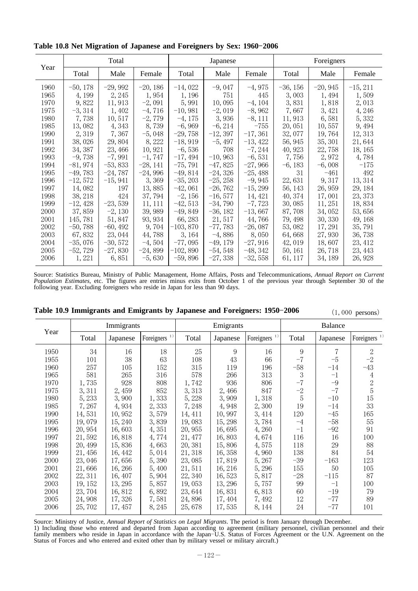|      |            | Total      |           |            | Japanese   |           | Foreigners |           |            |
|------|------------|------------|-----------|------------|------------|-----------|------------|-----------|------------|
| Year | Total      | Male       | Female    | Total      | Male       | Female    | Total      | Male      | Female     |
| 1960 | $-50, 178$ | $-29,992$  | $-20,186$ | $-14,022$  | $-9,047$   | $-4,975$  | $-36, 156$ | $-20,945$ | $-15, 211$ |
| 1965 | 4, 199     | 2, 245     | 1,954     | 1, 196     | 751        | 445       | 3,003      | 1,494     | 1,509      |
| 1970 | 9,822      | 11,913     | $-2,091$  | 5,991      | 10,095     | $-4, 104$ | 3,831      | 1,818     | 2,013      |
| 1975 | $-3,314$   | 1,402      | $-4,716$  | $-10,981$  | $-2,019$   | $-8,962$  | 7,667      | 3, 421    | 4,246      |
| 1980 | 7,738      | 10,517     | $-2,779$  | $-4,175$   | 3,936      | $-8,111$  | 11,913     | 6,581     | 5,332      |
| 1985 | 13,082     | 4, 343     | 8,739     | $-6,969$   | $-6, 214$  | $-755$    | 20,051     | 10,557    | 9,494      |
| 1990 | 2,319      | 7,367      | $-5,048$  | $-29,758$  | $-12,397$  | $-17,361$ | 32,077     | 19,764    | 12, 313    |
| 1991 | 38,026     | 29,804     | 8, 222    | $-18,919$  | $-5,497$   | $-13,422$ | 56, 945    | 35, 301   | 21,644     |
| 1992 | 34, 387    | 23, 466    | 10, 921   | $-6,536$   | 708        | $-7, 244$ | 40, 923    | 22,758    | 18, 165    |
| 1993 | $-9,738$   | $-7,991$   | $-1,747$  | $-17,494$  | $-10,963$  | $-6,531$  | 7,756      | 2,972     | 4,784      |
| 1994 | $-81,974$  | $-53,833$  | $-28,141$ | $-75,791$  | $-47,825$  | $-27,966$ | $-6,183$   | $-6,008$  | $-175$     |
| 1995 | $-49,783$  | $-24,787$  | $-24,996$ | $-49,814$  | $-24,326$  | $-25,488$ | 31         | $-461$    | 492        |
| 1996 | $-12,572$  | $-15,941$  | 3,369     | $-35, 203$ | $-25, 258$ | $-9,945$  | 22,631     | 9,317     | 13, 314    |
| 1997 | 14,082     | 197        | 13,885    | $-42,061$  | $-26,762$  | $-15,299$ | 56, 143    | 26, 959   | 29, 184    |
| 1998 | 38, 218    | 424        | 37, 794   | $-2,156$   | $-16,577$  | 14, 421   | 40, 374    | 17,001    | 23, 373    |
| 1999 | $-12,428$  | $-23,539$  | 11, 111   | $-42,513$  | $-34,790$  | $-7,723$  | 30,085     | 11, 251   | 18,834     |
| 2000 | 37,859     | $-2,130$   | 39,989    | $-49,849$  | $-36, 182$ | $-13,667$ | 87,708     | 34,052    | 53,656     |
| 2001 | 145, 781   | 51,847     | 93, 934   | 66, 283    | 21, 517    | 44,766    | 79, 498    | 30, 330   | 49, 168    |
| 2002 | $-50,788$  | $-60, 492$ | 9,704     | $-103,870$ | $-77,783$  | $-26,087$ | 53,082     | 17, 291   | 35,791     |
| 2003 | 67,832     | 23, 044    | 44,788    | 3, 164     | $-4,886$   | 8,050     | 64,668     | 27,930    | 36, 738    |
| 2004 | $-35,076$  | $-30,572$  | $-4,504$  | $-77,095$  | $-49,179$  | $-27,916$ | 42, 019    | 18,607    | 23, 412    |
| 2005 | $-52,729$  | $-27,830$  | $-24,899$ | $-102,890$ | $-54,548$  | $-48,342$ | 50, 161    | 26, 718   | 23, 443    |
| 2006 | 1, 221     | 6,851      | $-5,630$  | $-59,896$  | $-27,338$  | $-32,558$ | 61, 117    | 34, 189   | 26, 928    |

Table 10.8 Net Migration of Japanese and Foreigners by Sex: 1960-2006

Source: Statistics Bureau, Ministry of Public Management, Home Affairs, Posts and Telecommunications, *Annual Report on Current Population Estimates*, etc. The figures are entries minus exits from October 1 of the previous year through September 30 of the following year. Excluding foreigners who reside in Japan for less than 90 days.

|      |         |            |                          |         |           |                          | $(1)$ $000$ persons |                |                          |  |
|------|---------|------------|--------------------------|---------|-----------|--------------------------|---------------------|----------------|--------------------------|--|
|      |         | Immigrants |                          |         | Emigrants |                          |                     | <b>Balance</b> |                          |  |
| Year | Total   | Japanese   | Foreigners <sup>1)</sup> | Total   | Japanese  | Foreigners <sup>1)</sup> | Total               | Japanese       | Foreigners <sup>1)</sup> |  |
| 1950 | 34      | 16         | 18                       | 25      | 9         | 16                       | 9                   | 7              | $\overline{2}$           |  |
| 1955 | 101     | 38         | 63                       | 108     | 43        | 66                       | $-7$                | $-5$           | $-2$                     |  |
| 1960 | 257     | 105        | 152                      | 315     | 119       | 196                      | $-58$               | $-14$          | $-43$                    |  |
| 1965 | 581     | 265        | 316                      | 578     | 266       | 313                      | 3                   | $^{-1}$        | 4                        |  |
| 1970 | 1,735   | 928        | 808                      | 1,742   | 936       | 806                      | $-7$                | $-9$           | $\frac{2}{5}$            |  |
| 1975 | 3,311   | 2,459      | 852                      | 3, 313  | 2,466     | 847                      | $-2$                | $-7$           |                          |  |
| 1980 | 5, 233  | 3,900      | 1,333                    | 5, 228  | 3,909     | 1,318                    | 5                   | $-10$          | 15                       |  |
| 1985 | 7,267   | 4,934      | 2,333                    | 7,248   | 4,948     | 2,300                    | 19                  | $-14$          | 33                       |  |
| 1990 | 14,531  | 10,952     | 3,579                    | 14, 411 | 10,997    | 3, 414                   | 120                 | $-45$          | 165                      |  |
| 1995 | 19,079  | 15, 240    | 3,839                    | 19,083  | 15, 298   | 3,784                    | $-4$                | $-58$          | 55                       |  |
| 1996 | 20, 954 | 16,603     | 4,351                    | 20,955  | 16,695    | 4,260                    | $^{-1}$             | $-92$          | 91                       |  |
| 1997 | 21,592  | 16,818     | 4,774                    | 21, 477 | 16,803    | 4,674                    | 116                 | 16             | 100                      |  |
| 1998 | 20, 499 | 15,836     | 4,663                    | 20, 381 | 15,806    | 4,575                    | 118                 | 29             | 88                       |  |
| 1999 | 21, 456 | 16, 442    | 5,014                    | 21, 318 | 16, 358   | 4,960                    | 138                 | 84             | 54                       |  |
| 2000 | 23,046  | 17,656     | 5,390                    | 23,085  | 17,819    | 5,267                    | $-39$               | $-163$         | 123                      |  |
| 2001 | 21,666  | 16, 266    | 5,400                    | 21, 511 | 16, 216   | 5,296                    | 155                 | 50             | 105                      |  |
| 2002 | 22, 311 | 16, 407    | 5,904                    | 22, 340 | 16,523    | 5,817                    | $-28$               | $-115$         | 87                       |  |
| 2003 | 19, 152 | 13, 295    | 5,857                    | 19,053  | 13, 296   | 5,757                    | 99                  | $-1$           | 100                      |  |
| 2004 | 23,704  | 16,812     | 6,892                    | 23,644  | 16,831    | 6,813                    | 60                  | $-19$          | 79                       |  |
| 2005 | 24,908  | 17,326     | 7,581                    | 24,896  | 17, 404   | 7,492                    | 12                  | $-77$          | 89                       |  |
| 2006 | 25,702  | 17, 457    | 8, 245                   | 25,678  | 17,535    | 8, 144                   | 24                  | $-77$          | 101                      |  |

**Table 10.9 Immigrants and Emigrants by Japanese and Foreigners: 1950-2006** (1,000 persons)

Source: Ministry of Justice, *Annual Report of Statistics on Legal Migrants*. The period is from January through December. 1) Including those who entered and departed from Japan according to agreement (military personnel, civilian personnel and their family members who reside in Japan in accordance with the Japan–U.S. Status of Forces Agreement or the U.N. Agreement on the Status of Forces and who entered and exited other than by military vessel or military aircraft.)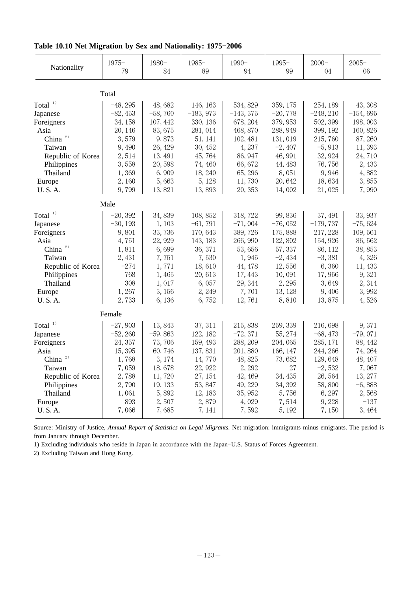| Nationality         | $1975 -$<br>79 | 1980-<br>84 | $1985 -$<br>89 | $1990 -$<br>94 | $1995 -$<br>99 | $2000 -$<br>04 | $2005 -$<br>06 |
|---------------------|----------------|-------------|----------------|----------------|----------------|----------------|----------------|
|                     | Total          |             |                |                |                |                |                |
| Total $1)$          | $-48, 295$     | 48,682      | 146, 163       | 534, 829       | 359, 175       | 254, 189       | 43, 308        |
| Japanese            | $-82,453$      | $-58,760$   | $-183,973$     | $-143, 375$    | $-20,778$      | $-248, 210$    | $-154,695$     |
| Foreigners          | 34, 158        | 107, 442    | 330, 136       | 678, 204       | 379, 953       | 502, 399       | 198,003        |
| Asia                | 20, 146        | 83,675      | 281,014        | 468, 870       | 288, 949       | 399, 192       | 160,826        |
| China <sup>2)</sup> | 3,579          | 9,873       | 51, 141        | 102, 481       | 131,019        | 215,760        | 87,260         |
| Taiwan              | 9,490          | 26, 429     | 30, 452        | 4,237          | $-2,407$       | $-5,913$       | 11,393         |
| Republic of Korea   | 2,514          | 13, 491     | 45,764         | 86, 947        | 46, 991        | 32, 924        | 24,710         |
| Philippines         | 3,558          | 20,598      | 74,460         | 66,672         | 44, 483        | 76,756         | 2,433          |
| Thailand            | 1,369          | 6,909       | 18, 240        | 65, 296        | 8,051          | 9,946          | 4,882          |
| Europe              | 2,160          | 5,663       | 5, 128         | 11,730         | 20,642         | 18,634         | 3,855          |
| <b>U.S.A.</b>       | 9,799          | 13,821      | 13,893         | 20, 353        | 14,002         | 21,025         | 7,990          |
|                     | Male           |             |                |                |                |                |                |
| Total $1)$          | $-20, 392$     | 34,839      | 108, 852       | 318, 722       | 99,836         | 37, 491        | 33, 937        |
| Japanese            | $-30, 193$     | 1,103       | $-61,791$      | $-71,004$      | $-76,052$      | $-179,737$     | $-75,624$      |
| Foreigners          | 9,801          | 33,736      | 170,643        | 389,726        | 175,888        | 217, 228       | 109,561        |
| Asia                | 4,751          | 22, 929     | 143, 183       | 266, 990       | 122,802        | 154, 926       | 86,562         |
| China $2)$          | 1,811          | 6,699       | 36, 371        | 53,656         | 57, 337        | 86, 112        | 38,853         |
| Taiwan              | 2,431          | 7,751       | 7,530          | 1,945          | $-2,434$       | $-3,381$       | 4,326          |
| Republic of Korea   | $-274$         | 1,771       | 18,610         | 44, 478        | 12,556         | 6,360          | 11,433         |
| Philippines         | 768            | 1,465       | 20,613         | 17, 443        | 10,091         | 17,956         | 9,321          |
| Thailand            | 308            | 1,017       | 6,057          | 29, 344        | 2, 295         | 3,649          | 2,314          |
| Europe              | 1,267          | 3,156       | 2,249          | 7,701          | 13, 128        | 9,406          | 3,992          |
| <b>U.S.A.</b>       | 2,733          | 6,136       | 6,752          | 12,761         | 8,810          | 13,875         | 4,526          |
|                     | Female         |             |                |                |                |                |                |
| Total $11$          | $-27,903$      | 13,843      | 37, 311        | 215,838        | 259, 339       | 216,698        | 9,371          |
| Japanese            | $-52, 260$     | $-59,863$   | 122, 182       | $-72,371$      | 55, 274        | $-68,473$      | $-79,071$      |
| Foreigners          | 24, 357        | 73,706      | 159, 493       | 288, 209       | 204,065        | 285, 171       | 88, 442        |
| Asia                | 15,395         | 60,746      | 137,831        | 201,880        | 166, 147       | 244, 266       | 74, 264        |
| China <sup>2)</sup> | 1,768          | 3, 174      | 14,770         | 48,825         | 73,682         | 129,648        | 48, 407        |
| Taiwan              | 7,059          | 18,678      | 22, 922        | 2, 292         | 27             | $-2,532$       | 7,067          |
| Republic of Korea   | 2,788          | 11,720      | 27, 154        | 42, 469        | 34, 435        | 26,564         | 13, 277        |
| Philippines         | 2,790          | 19, 133     | 53, 847        | 49, 229        | 34, 392        | 58,800         | $-6,888$       |
| Thailand            | 1,061          | 5,892       | 12, 183        | 35, 952        | 5,756          | 6, 297         | 2,568          |
| Europe              | 893            | 2,507       | 2,879          | 4,029          | 7,514          | 9,228          | $-137$         |
| <b>U.S.A.</b>       | 7,066          | 7,685       | 7, 141         | 7,592          | 5, 192         | 7,150          | 3,464          |

## Table 10.10 Net Migration by Sex and Nationality: 1975-2006

Source: Ministry of Justice, Annual Report of Statistics on Legal Migrants. Net migration: immigrants minus emigrants. The period is from January through December.

1) Excluding individuals who reside in Japan in accordance with the Japan-U.S. Status of Forces Agreement.

2) Excluding Taiwan and Hong Kong.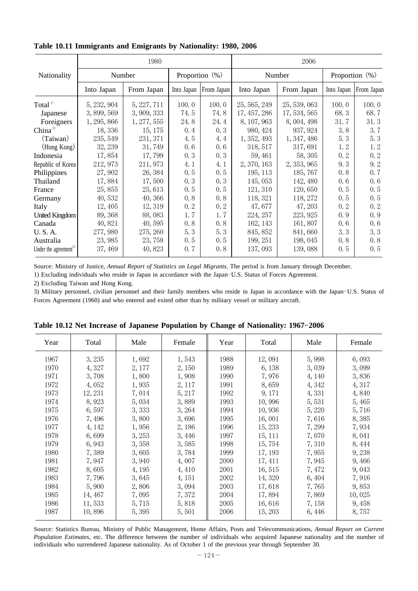|                                   |             | 1980        |                   |            | 2006         |              |                   |                       |  |
|-----------------------------------|-------------|-------------|-------------------|------------|--------------|--------------|-------------------|-----------------------|--|
| Nationality                       | Number      |             | Proportion $(\%)$ |            |              | Number       | Proportion $(\%)$ |                       |  |
|                                   | Into Japan  | From Japan  | Into Japan        | From Japan | Into Japan   | From Japan   |                   | Into Japan From Japan |  |
| Total $1)$                        | 5, 232, 904 | 5, 227, 711 | 100.0             | 100.0      | 25, 565, 249 | 25, 539, 063 | 100.0             | 100.0                 |  |
| Japanese                          | 3,899,569   | 3, 909, 333 | 74.5              | 74.8       | 17, 457, 286 | 17, 534, 565 | 68.3              | 68.7                  |  |
| Foreigners                        | 1, 295, 866 | 1, 277, 555 | 24.8              | 24.4       | 8, 107, 963  | 8, 004, 498  | 31.7              | 31.3                  |  |
| China $^{2)}$                     | 18,336      | 15, 175     | 0.4               | 0.3        | 980, 424     | 937, 924     | 3.8               | 3.7                   |  |
| (Taiwan)                          | 235, 549    | 231, 371    | 4.5               | 4.4        | 1, 352, 493  | 1, 347, 486  | 5.3               | 5.3                   |  |
| (Hong Kong)                       | 32, 239     | 31, 749     | 0.6               | 0.6        | 318, 517     | 317,691      | 1.2               | 1.2                   |  |
| Indonesia                         | 17,854      | 17, 799     | 0.3               | 0.3        | 59, 461      | 58, 305      | 0.2               | 0.2                   |  |
| Republic of Korea                 | 212, 973    | 211, 973    | 4.1               | 4.1        | 2, 370, 163  | 2, 353, 965  | 9.3               | 9.2                   |  |
| Philippines                       | 27,902      | 26, 384     | 0.5               | 0.5        | 195, 113     | 185, 767     | 0.8               | 0.7                   |  |
| Thailand                          | 17,884      | 17,500      | 0.3               | 0.3        | 145, 053     | 142, 480     | 0.6               | 0.6                   |  |
| France                            | 25,855      | 25,613      | 0.5               | 0.5        | 121, 310     | 120,650      | 0.5               | 0.5                   |  |
| Germany                           | 40,532      | 40,366      | 0.8               | 0.8        | 118, 321     | 118, 272     | 0.5               | 0.5                   |  |
| Italy                             | 12, 405     | 12, 319     | 0.2               | 0.2        | 47,677       | 47, 203      | 0.2               | 0.2                   |  |
| <b>United Kingdom</b>             | 89, 368     | 88,083      | 1.7               | 1.7        | 224, 257     | 223, 925     | 0.9               | 0.9                   |  |
| Canada                            | 40,821      | 40,595      | 0.8               | 0.8        | 162, 143     | 161,807      | 0.6               | 0.6                   |  |
| <b>U.S.A.</b>                     | 277,980     | 275, 260    | 5.3               | 5.3        | 845, 852     | 841,660      | 3.3               | 3.3                   |  |
| Australia                         | 23,985      | 23,758      | 0.5               | 0.5        | 199, 251     | 198, 045     | 0.8               | 0.8                   |  |
| Under the agreement <sup>3)</sup> | 37, 469     | 40, 823     | 0, 7              | 0.8        | 137,093      | 139,088      | 0, 5              | 0.5                   |  |

**Table 10.11 Immigrants and Emigrants by Nationality: 1980, 2006**

Source: Ministry of Justice, Annual Report of Statistics on Legal Migrants. The period is from January through December.

1) Excluding individuals who reside in Japan in accordance with the Japan-U.S. Status of Forces Agreement.

2) Excluding Taiwan and Hong Kong.

3) Military personnel, civilian personnel and their family members who reside in Japan in accordance with the Japan U.S. Status of - Forces Agreement (1960) and who entered and exited other than by military vessel or military aircraft.

| Year | Total   | Male   | Female | Year | Total   | Male   | Female |
|------|---------|--------|--------|------|---------|--------|--------|
| 1967 | 3, 235  | 1,692  | 1,543  | 1988 | 12,091  | 5,998  | 6,093  |
| 1970 | 4,327   | 2, 177 | 2, 150 | 1989 | 6, 138  | 3,039  | 3,099  |
| 1971 | 3,708   | 1,800  | 1,908  | 1990 | 7,976   | 4, 140 | 3,836  |
| 1972 | 4,052   | 1,935  | 2, 117 | 1991 | 8,659   | 4,342  | 4,317  |
| 1973 | 12, 231 | 7,014  | 5, 217 | 1992 | 9, 171  | 4,331  | 4,840  |
| 1974 | 8,923   | 5,034  | 3,889  | 1993 | 10,996  | 5,531  | 5,465  |
| 1975 | 6,597   | 3,333  | 3, 264 | 1994 | 10,936  | 5, 220 | 5,716  |
| 1976 | 7,496   | 3,800  | 3,696  | 1995 | 16,001  | 7,616  | 8,385  |
| 1977 | 4, 142  | 1,956  | 2,186  | 1996 | 15, 233 | 7,299  | 7,934  |
| 1978 | 6,699   | 3, 253 | 3,446  | 1997 | 15, 111 | 7,070  | 8,041  |
| 1979 | 6,943   | 3,358  | 3,585  | 1998 | 15,754  | 7,310  | 8,444  |
| 1980 | 7,389   | 3,605  | 3,784  | 1999 | 17, 193 | 7,955  | 9,238  |
| 1981 | 7,947   | 3,940  | 4,007  | 2000 | 17, 411 | 7,945  | 9,466  |
| 1982 | 8,605   | 4, 195 | 4, 410 | 2001 | 16, 515 | 7, 472 | 9,043  |
| 1983 | 7,796   | 3,645  | 4, 151 | 2002 | 14,320  | 6, 404 | 7,916  |
| 1984 | 5,900   | 2,806  | 3,094  | 2003 | 17,618  | 7,765  | 9,853  |
| 1985 | 14, 467 | 7,095  | 7,372  | 2004 | 17,894  | 7,869  | 10,025 |
| 1986 | 11,533  | 5,715  | 5,818  | 2005 | 16,616  | 7, 158 | 9, 458 |
| 1987 | 10,896  | 5, 395 | 5,501  | 2006 | 15, 203 | 6, 446 | 8,757  |
|      |         |        |        |      |         |        |        |

Table 10.12 Net Increase of Japanese Population by Change of Nationality: 1967-2006

Source: Statistics Bureau, Ministry of Public Management, Home Affairs, Posts and Telecommunications, *Annual Report on Current Population Estimates*, etc. The difference between the number of individuals who acquired Japanese nationality and the number of individuals who surrendered Japanese nationality. As of October 1 of the previous year through September 30.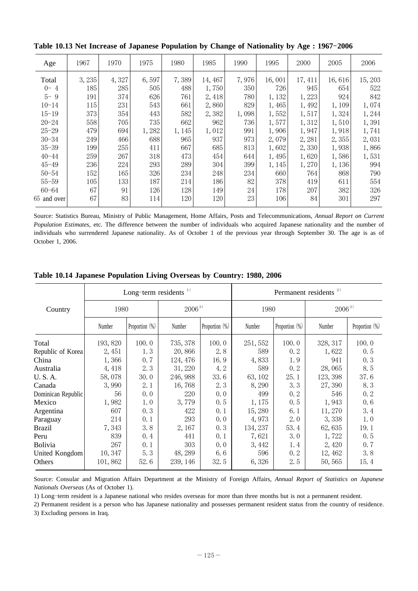| Age         | 1967  | 1970  | 1975  | 1980   | 1985    | 1990  | 1995   | 2000    | 2005   | 2006    |
|-------------|-------|-------|-------|--------|---------|-------|--------|---------|--------|---------|
| Total       | 3,235 | 4,327 | 6,597 | 7,389  | 14, 467 | 7,976 | 16,001 | 17, 411 | 16,616 | 15, 203 |
| $0 - 4$     | 185   | 285   | 505   | 488    | 1,750   | 350   | 726    | 945     | 654    | 522     |
| $5 - 9$     | 191   | 374   | 626   | 761    | 2,418   | 780   | 1,132  | 1,223   | 924    | 842     |
| $10 - 14$   | 115   | 231   | 543   | 661    | 2,860   | 829   | 1,465  | 1,492   | 1,109  | 1,074   |
| $15 - 19$   | 373   | 354   | 443   | 582    | 2,382   | 1,098 | 1,552  | 1,517   | 1,324  | 1,244   |
| $20 - 24$   | 558   | 705   | 735   | 662    | 962     | 736   | 1,577  | 1,312   | 1,510  | 1,391   |
| $25 - 29$   | 479   | 694   | 1,282 | 1, 145 | 1,012   | 991   | 1,906  | 1,947   | 1,918  | 1,741   |
| $30 - 34$   | 249   | 466   | 688   | 965    | 937     | 973   | 2,079  | 2,281   | 2,355  | 2,031   |
| $35 - 39$   | 199   | 255   | 411   | 667    | 685     | 813   | 1,602  | 2,330   | 1,938  | 1,866   |
| $40 - 44$   | 259   | 267   | 318   | 473    | 454     | 644   | 1,495  | 1,620   | 1,586  | 1,531   |
| $45 - 49$   | 236   | 224   | 293   | 289    | 304     | 399   | 1,145  | 1,270   | 1,136  | 994     |
| $50 - 54$   | 152   | 165   | 326   | 234    | 248     | 234   | 660    | 764     | 868    | 790     |
| $55 - 59$   | 105   | 133   | 187   | 214    | 186     | 82    | 378    | 419     | 611    | 554     |
| $60 - 64$   | 67    | 91    | 126   | 128    | 149     | 24    | 178    | 207     | 382    | 326     |
| 65 and over | 67    | 83    | 114   | 120    | 120     | 23    | 106    | 84      | 301    | 297     |
|             |       |       |       |        |         |       |        |         |        |         |

Table 10.13 Net Increase of Japanese Population by Change of Nationality by Age: 1967-2006

Source: Statistics Bureau, Ministry of Public Management, Home Affairs, Posts and Telecommunications, *Annual Report on Current Population Estimates*, etc. The difference between the number of individuals who acquired Japanese nationality and the number of individuals who surrendered Japanese nationality. As of October 1 of the previous year through September 30. The age is as of October 1, 2006.

|                    |         | Long-term residents $1)$ |            |                | Permanent residents <sup>2)</sup> |                   |            |                   |  |  |
|--------------------|---------|--------------------------|------------|----------------|-----------------------------------|-------------------|------------|-------------------|--|--|
| Country            | 1980    |                          | $2006^{3}$ |                | 1980                              |                   | $2006^{3}$ |                   |  |  |
|                    | Number  | Proportion (%)           | Number     | Proportion (%) | Number                            | Proportion $(\%)$ | Number     | Proportion $(\%)$ |  |  |
| Total              | 193,820 | 100.0                    | 735, 378   | 100.0          | 251, 552                          | 100.0             | 328, 317   | 100.0             |  |  |
| Republic of Korea  | 2,451   | 1.3                      | 20,866     | 2.8            | 589                               | 0.2               | 1,622      | 0.5               |  |  |
| China              | 1,366   | 0.7                      | 124, 476   | 16.9           | 4,833                             | 1.9               | 941        | 0.3               |  |  |
| Australia          | 4,418   | 2.3                      | 31, 220    | 4.2            | 589                               | 0.2               | 28,065     | 8.5               |  |  |
| U.S.A.             | 58,078  | 30.0                     | 246, 988   | 33.6           | 63, 102                           | 25.1              | 123, 398   | 37.6              |  |  |
| Canada             | 3,990   | 2.1                      | 16,768     | 2.3            | 8, 290                            | 3.3               | 27,390     | 8.3               |  |  |
| Dominican Republic | 56      | 0.0                      | 220        | 0.0            | 499                               | 0.2               | 546        | 0.2               |  |  |
| Mexico             | 1,982   | 1.0                      | 3,779      | 0.5            | 1,175                             | 0.5               | 1,943      | 0.6               |  |  |
| Argentina          | 607     | 0.3                      | 422        | 0.1            | 15,280                            | 6.1               | 11,270     | 3.4               |  |  |
| Paraguay           | 214     | 0.1                      | 293        | 0.0            | 4,973                             | 2.0               | 3,338      | 1.0               |  |  |
| <b>Brazil</b>      | 7,343   | 3.8                      | 2,167      | 0.3            | 134, 237                          | 53.4              | 62,635     | 19.1              |  |  |
| Peru               | 839     | 0.4                      | 441        | 0.1            | 7,621                             | 3.0               | 1,722      | 0.5               |  |  |
| <b>Bolivia</b>     | 267     | 0.1                      | 303        | 0.0            | 3, 442                            | 1.4               | 2,420      | 0, 7              |  |  |
| United Kongdom     | 10,347  | 5.3                      | 48, 289    | 6.6            | 596                               | 0.2               | 12, 462    | 3.8               |  |  |
| Others             | 101,862 | 52.6                     | 239, 146   | 32.5           | 6,326                             | 2.5               | 50, 565    | 15.4              |  |  |

**Table 10.14 Japanese Population Living Overseas by Country: 1980, 2006**

Source: Consular and Migration Affairs Department at the Ministry of Foreign Affairs, *Annual Report of Statistics on Japanese Nationals Overseas* (As of October 1).

1) Long-term resident is a Japanese national who resides overseas for more than three months but is not a permanent resident.

2) Permanent resident is a person who has Japanese nationality and possesses permanent resident status from the country of residence. 3) Excluding persons in Iraq.